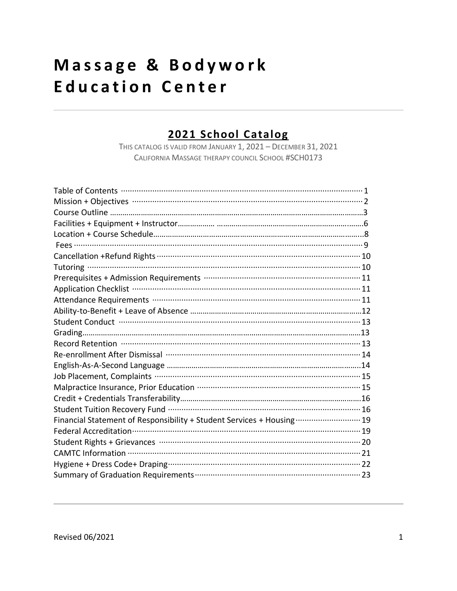# Massage & Bodywork **Education Center**

#### 2021 School Catalog

THIS CATALOG IS VALID FROM JANUARY 1, 2021 - DECEMBER 31, 2021 CALIFORNIA MASSAGE THERAPY COUNCIL SCHOOL #SCH0173

| Prerequisites + Admission Requirements ……………………………………………………………………… 11                                          |
|----------------------------------------------------------------------------------------------------------------|
|                                                                                                                |
|                                                                                                                |
|                                                                                                                |
| Student Conduct (William Manuschen und Manuschen und Manuschen und Manuschen und Manuschen 13                  |
|                                                                                                                |
|                                                                                                                |
|                                                                                                                |
|                                                                                                                |
|                                                                                                                |
| Malpractice Insurance, Prior Education …………………………………………………………… 15                                              |
|                                                                                                                |
| Student Tuition Recovery Fund ………………………………………………………………………… 16                                                  |
| Financial Statement of Responsibility + Student Services + Housing  19                                         |
| Federal Accreditation (1990) 1996) 72- The Rederal Accreditation (1996) 73- The Rederal Accreditation (1996) 7 |
|                                                                                                                |
|                                                                                                                |
|                                                                                                                |
|                                                                                                                |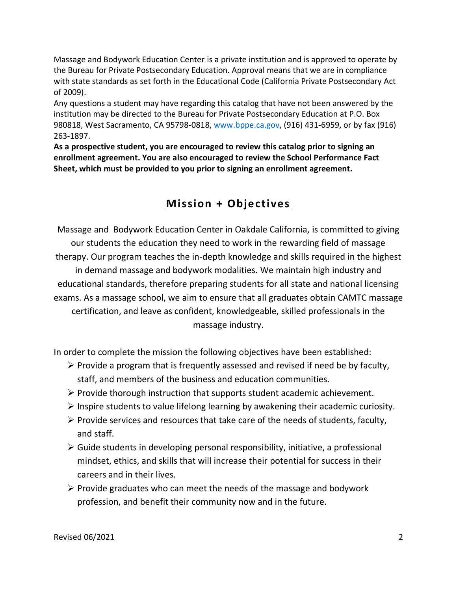Massage and Bodywork Education Center is a private institution and is approved to operate by the Bureau for Private Postsecondary Education. Approval means that we are in compliance with state standards as set forth in the Educational Code (California Private Postsecondary Act of 2009).

Any questions a student may have regarding this catalog that have not been answered by the institution may be directed to the Bureau for Private Postsecondary Education at P.O. Box 980818, West Sacramento, CA 95798-0818, [www.bppe.ca.gov,](http://www.bppe.ca.gov/) (916) 431-6959, or by fax (916) 263-1897.

**As a prospective student, you are encouraged to review this catalog prior to signing an enrollment agreement. You are also encouraged to review the School Performance Fact Sheet, which must be provided to you prior to signing an enrollment agreement.**

### **Mission + Objectives**

Massage and Bodywork Education Center in Oakdale California, is committed to giving our students the education they need to work in the rewarding field of massage therapy. Our program teaches the in-depth knowledge and skills required in the highest in demand massage and bodywork modalities. We maintain high industry and educational standards, therefore preparing students for all state and national licensing exams. As a massage school, we aim to ensure that all graduates obtain CAMTC massage certification, and leave as confident, knowledgeable, skilled professionals in the massage industry.

In order to complete the mission the following objectives have been established:

- $\triangleright$  Provide a program that is frequently assessed and revised if need be by faculty, staff, and members of the business and education communities.
- ➢ Provide thorough instruction that supports student academic achievement.
- ➢ Inspire students to value lifelong learning by awakening their academic curiosity.
- $\triangleright$  Provide services and resources that take care of the needs of students, faculty, and staff.
- $\triangleright$  Guide students in developing personal responsibility, initiative, a professional mindset, ethics, and skills that will increase their potential for success in their careers and in their lives.
- $\triangleright$  Provide graduates who can meet the needs of the massage and bodywork profession, and benefit their community now and in the future.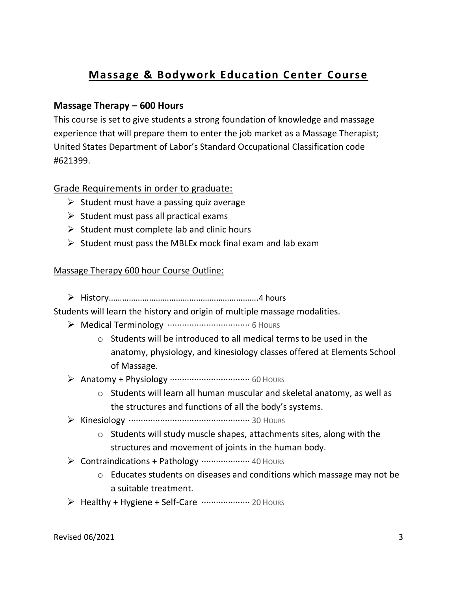### **Massage & Bodywork Education Center Course**

#### **Massage Therapy – 600 Hours**

This course is set to give students a strong foundation of knowledge and massage experience that will prepare them to enter the job market as a Massage Therapist; United States Department of Labor's Standard Occupational Classification code #621399.

#### Grade Requirements in order to graduate:

- $\triangleright$  Student must have a passing quiz average
- $\triangleright$  Student must pass all practical exams
- $\triangleright$  Student must complete lab and clinic hours
- $\triangleright$  Student must pass the MBLEx mock final exam and lab exam

#### Massage Therapy 600 hour Course Outline:

➢ History………………………………………………………….4 hours

Students will learn the history and origin of multiple massage modalities.

- ➢ Medical Terminology ·································· 6 HOURS
	- o Students will be introduced to all medical terms to be used in the anatomy, physiology, and kinesiology classes offered at Elements School of Massage.
- ➢ Anatomy + Physiology ································· 60 HOURS
	- o Students will learn all human muscular and skeletal anatomy, as well as the structures and functions of all the body's systems.
- ➢ Kinesiology ·················································· 30 HOURS
	- o Students will study muscle shapes, attachments sites, along with the structures and movement of joints in the human body.
- ➢ Contraindications + Pathology ···················· 40 HOURS
	- o Educates students on diseases and conditions which massage may not be a suitable treatment.
- $\triangleright$  Healthy + Hygiene + Self-Care  $\cdots$  $\cdots$  $\cdots$  $\cdots$  20 Hours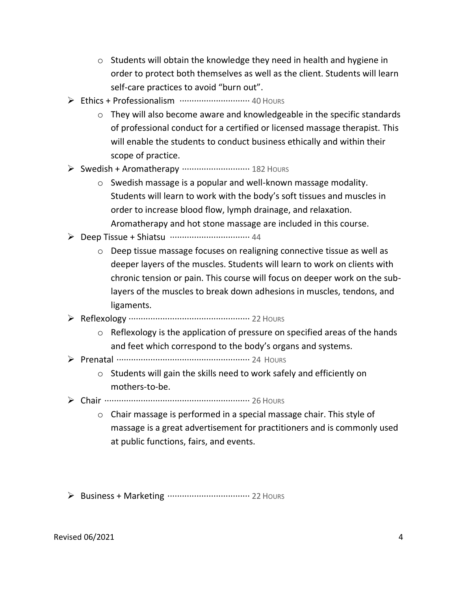- o Students will obtain the knowledge they need in health and hygiene in order to protect both themselves as well as the client. Students will learn self-care practices to avoid "burn out".
- ➢ Ethics + Professionalism ····························· 40 HOURS
	- o They will also become aware and knowledgeable in the specific standards of professional conduct for a certified or licensed massage therapist. This will enable the students to conduct business ethically and within their scope of practice.
- ➢ Swedish + Aromatherapy ···························· 182 HOURS
	- o Swedish massage is a popular and well-known massage modality. Students will learn to work with the body's soft tissues and muscles in order to increase blood flow, lymph drainage, and relaxation. Aromatherapy and hot stone massage are included in this course.
- ➢ Deep Tissue + Shiatsu ································· 44
	- o Deep tissue massage focuses on realigning connective tissue as well as deeper layers of the muscles. Students will learn to work on clients with chronic tension or pain. This course will focus on deeper work on the sublayers of the muscles to break down adhesions in muscles, tendons, and ligaments.
- ➢ Reflexology ·················································· 22 HOURS
	- $\circ$  Reflexology is the application of pressure on specified areas of the hands and feet which correspond to the body's organs and systems.
- ➢ Prenatal ······················································· 24 HOURS
	- o Students will gain the skills need to work safely and efficiently on mothers-to-be.
- ➢ Chair ···························································· 26 HOURS
	- o Chair massage is performed in a special massage chair. This style of massage is a great advertisement for practitioners and is commonly used at public functions, fairs, and events.
- ➢ Business + Marketing ·································· 22 HOURS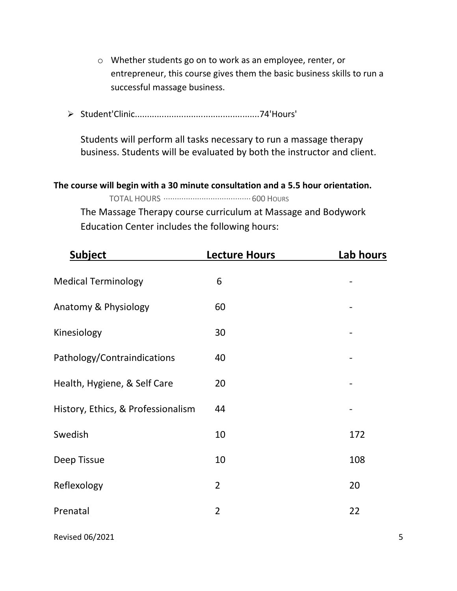- o Whether students go on to work as an employee, renter, or entrepreneur, this course gives them the basic business skills to run a successful massage business.
- ➢ Student'Clinic...................................................74'Hours'

Students will perform all tasks necessary to run a massage therapy business. Students will be evaluated by both the instructor and client.

**The course will begin with a 30 minute consultation and a 5.5 hour orientation.** 

TOTAL HOURS ·······································600 HOURS

The Massage Therapy course curriculum at Massage and Bodywork Education Center includes the following hours:

| <b>Subject</b>                     | <b>Lecture Hours</b> | Lab hours |
|------------------------------------|----------------------|-----------|
| <b>Medical Terminology</b>         | 6                    |           |
| Anatomy & Physiology               | 60                   |           |
| Kinesiology                        | 30                   |           |
| Pathology/Contraindications        | 40                   |           |
| Health, Hygiene, & Self Care       | 20                   |           |
| History, Ethics, & Professionalism | 44                   |           |
| Swedish                            | 10                   | 172       |
| Deep Tissue                        | 10                   | 108       |
| Reflexology                        | $\overline{2}$       | 20        |
| Prenatal                           | $\overline{2}$       | 22        |
|                                    |                      |           |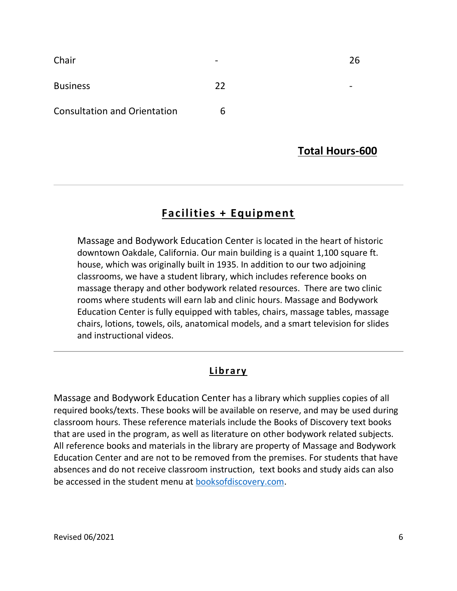| Chair                               | -  | 26 |
|-------------------------------------|----|----|
| <b>Business</b>                     | 22 |    |
| <b>Consultation and Orientation</b> | 6  |    |

#### **Total Hours-600**

#### **Facilities + Equipment**

Massage and Bodywork Education Center is located in the heart of historic downtown Oakdale, California. Our main building is a quaint 1,100 square ft. house, which was originally built in 1935. In addition to our two adjoining classrooms, we have a student library, which includes reference books on massage therapy and other bodywork related resources. There are two clinic rooms where students will earn lab and clinic hours. Massage and Bodywork Education Center is fully equipped with tables, chairs, massage tables, massage chairs, lotions, towels, oils, anatomical models, and a smart television for slides and instructional videos.

#### **Library**

Massage and Bodywork Education Center has a library which supplies copies of all required books/texts. These books will be available on reserve, and may be used during classroom hours. These reference materials include the Books of Discovery text books that are used in the program, as well as literature on other bodywork related subjects. All reference books and materials in the library are property of Massage and Bodywork Education Center and are not to be removed from the premises. For students that have absences and do not receive classroom instruction, text books and study aids can also be accessed in the student menu at [booksofdiscovery.com.](http://www.booksofdiscovery.com/)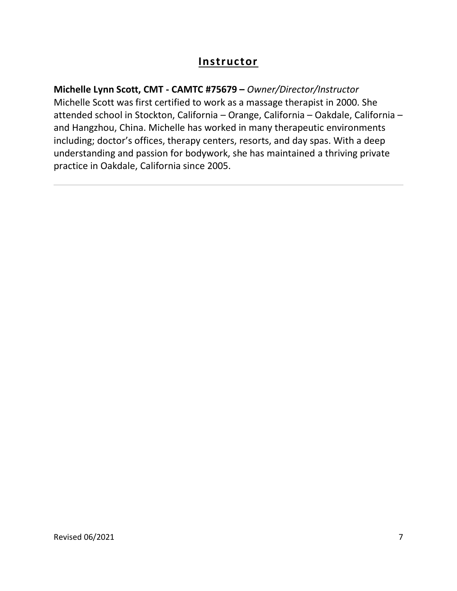#### **Instructor**

#### **Michelle Lynn Scott, CMT - CAMTC #75679 –** *Owner/Director/Instructor*

Michelle Scott was first certified to work as a massage therapist in 2000. She attended school in Stockton, California – Orange, California – Oakdale, California – and Hangzhou, China. Michelle has worked in many therapeutic environments including; doctor's offices, therapy centers, resorts, and day spas. With a deep understanding and passion for bodywork, she has maintained a thriving private practice in Oakdale, California since 2005.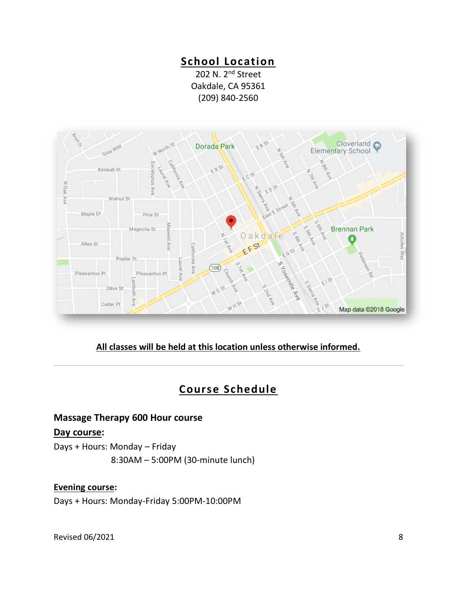#### **School Location**

202 N. 2<sup>nd</sup> Street Oakdale, CA 95361 (209) 840-2560



#### **All classes will be held at this location unless otherwise informed.**

#### **Course Schedule**

#### **Massage Therapy 600 Hour course**

#### **Day course:**

Days + Hours: Monday – Friday 8:30AM – 5:00PM (30-minute lunch)

#### **Evening course:**

Days + Hours: Monday-Friday 5:00PM-10:00PM

Revised 06/2021 8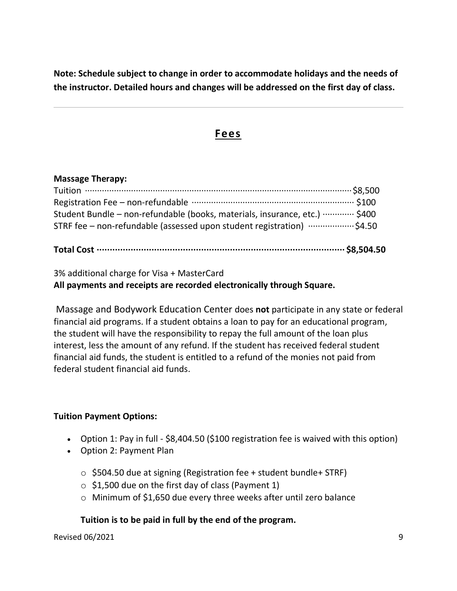**Note: Schedule subject to change in order to accommodate holidays and the needs of the instructor. Detailed hours and changes will be addressed on the first day of class.** 

#### **Fees**

#### **Massage Therapy:**

| STRF fee - non-refundable (assessed upon student registration)  \$4.50         |  |
|--------------------------------------------------------------------------------|--|
| Student Bundle – non-refundable (books, materials, insurance, etc.) ………… \$400 |  |
| Registration Fee - non-refundable ………………………………………………………… \$100                 |  |
|                                                                                |  |
|                                                                                |  |

3% additional charge for Visa + MasterCard **All payments and receipts are recorded electronically through Square.**

Massage and Bodywork Education Center does **not** participate in any state or federal financial aid programs. If a student obtains a loan to pay for an educational program, the student will have the responsibility to repay the full amount of the loan plus interest, less the amount of any refund. If the student has received federal student financial aid funds, the student is entitled to a refund of the monies not paid from federal student financial aid funds.

#### **Tuition Payment Options:**

- Option 1: Pay in full \$8,404.50 (\$100 registration fee is waived with this option)
- Option 2: Payment Plan
	- $\circ$  \$504.50 due at signing (Registration fee + student bundle+ STRF)
	- $\circ$  \$1,500 due on the first day of class (Payment 1)
	- o Minimum of \$1,650 due every three weeks after until zero balance

#### **Tuition is to be paid in full by the end of the program.**

Revised 06/2021 9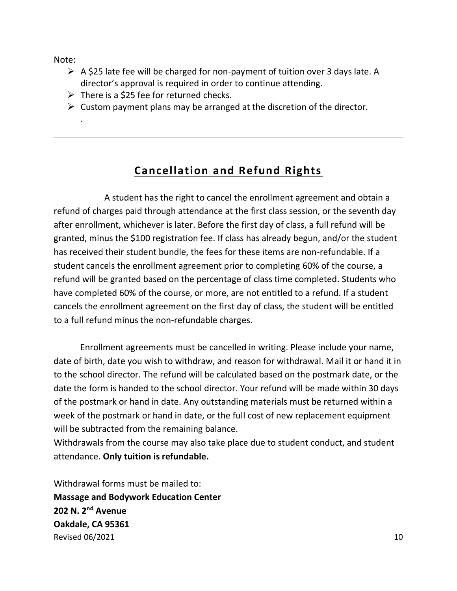Note:

.

- ➢ A \$25 late fee will be charged for non-payment of tuition over 3 days late. A director's approval is required in order to continue attending.
- $\triangleright$  There is a \$25 fee for returned checks.
- $\triangleright$  Custom payment plans may be arranged at the discretion of the director.

### **Cancellation and Refund Rights**

 A student has the right to cancel the enrollment agreement and obtain a refund of charges paid through attendance at the first class session, or the seventh day after enrollment, whichever is later. Before the first day of class, a full refund will be granted, minus the \$100 registration fee. If class has already begun, and/or the student has received their student bundle, the fees for these items are non-refundable. If a student cancels the enrollment agreement prior to completing 60% of the course, a refund will be granted based on the percentage of class time completed. Students who have completed 60% of the course, or more, are not entitled to a refund. If a student cancels the enrollment agreement on the first day of class, the student will be entitled to a full refund minus the non-refundable charges.

 Enrollment agreements must be cancelled in writing. Please include your name, date of birth, date you wish to withdraw, and reason for withdrawal. Mail it or hand it in to the school director. The refund will be calculated based on the postmark date, or the date the form is handed to the school director. Your refund will be made within 30 days of the postmark or hand in date. Any outstanding materials must be returned within a week of the postmark or hand in date, or the full cost of new replacement equipment will be subtracted from the remaining balance.

Withdrawals from the course may also take place due to student conduct, and student attendance. **Only tuition is refundable.**

 $\mu$  Revised 06/2021 **10** Withdrawal forms must be mailed to: **Massage and Bodywork Education Center 202 N. 2nd Avenue Oakdale, CA 95361**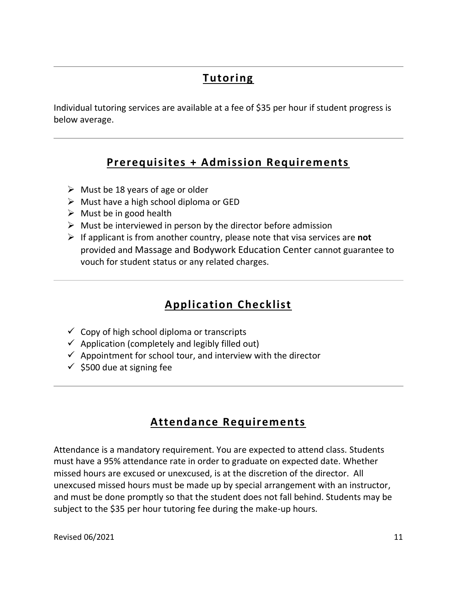## **Tutoring**

Individual tutoring services are available at a fee of \$35 per hour if student progress is below average.

#### **Prerequisites + Admission Requirements**

- $\triangleright$  Must be 18 years of age or older
- $\triangleright$  Must have a high school diploma or GED
- $\triangleright$  Must be in good health
- $\triangleright$  Must be interviewed in person by the director before admission
- ➢ If applicant is from another country, please note that visa services are **not** provided and Massage and Bodywork Education Center cannot guarantee to vouch for student status or any related charges.

# **Application Checklist**

- $\checkmark$  Copy of high school diploma or transcripts
- $\checkmark$  Application (completely and legibly filled out)
- $\checkmark$  Appointment for school tour, and interview with the director
- $\checkmark$  \$500 due at signing fee

# **Attendance Requirements**

Attendance is a mandatory requirement. You are expected to attend class. Students must have a 95% attendance rate in order to graduate on expected date. Whether missed hours are excused or unexcused, is at the discretion of the director. All unexcused missed hours must be made up by special arrangement with an instructor, and must be done promptly so that the student does not fall behind. Students may be subject to the \$35 per hour tutoring fee during the make-up hours.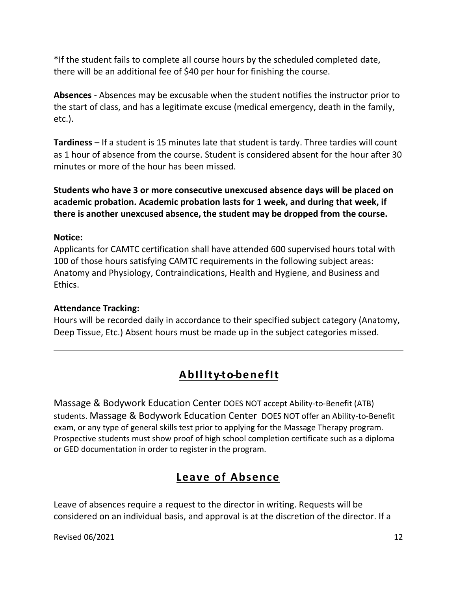\*If the student fails to complete all course hours by the scheduled completed date, there will be an additional fee of \$40 per hour for finishing the course.

**Absences** - Absences may be excusable when the student notifies the instructor prior to the start of class, and has a legitimate excuse (medical emergency, death in the family, etc.).

**Tardiness** – If a student is 15 minutes late that student is tardy. Three tardies will count as 1 hour of absence from the course. Student is considered absent for the hour after 30 minutes or more of the hour has been missed.

**Students who have 3 or more consecutive unexcused absence days will be placed on academic probation. Academic probation lasts for 1 week, and during that week, if there is another unexcused absence, the student may be dropped from the course.** 

#### **Notice:**

Applicants for CAMTC certification shall have attended 600 supervised hours total with 100 of those hours satisfying CAMTC requirements in the following subject areas: Anatomy and Physiology, Contraindications, Health and Hygiene, and Business and Ethics.

#### **Attendance Tracking:**

Hours will be recorded daily in accordance to their specified subject category (Anatomy, Deep Tissue, Etc.) Absent hours must be made up in the subject categories missed.

### **Ability-to-benefit**

Massage & Bodywork Education Center DOES NOT accept Ability-to-Benefit (ATB) students. Massage & Bodywork Education Center DOES NOT offer an Ability-to-Benefit exam, or any type of general skills test prior to applying for the Massage Therapy program. Prospective students must show proof of high school completion certificate such as a diploma or GED documentation in order to register in the program.

#### **Leave of Absence**

Leave of absences require a request to the director in writing. Requests will be considered on an individual basis, and approval is at the discretion of the director. If a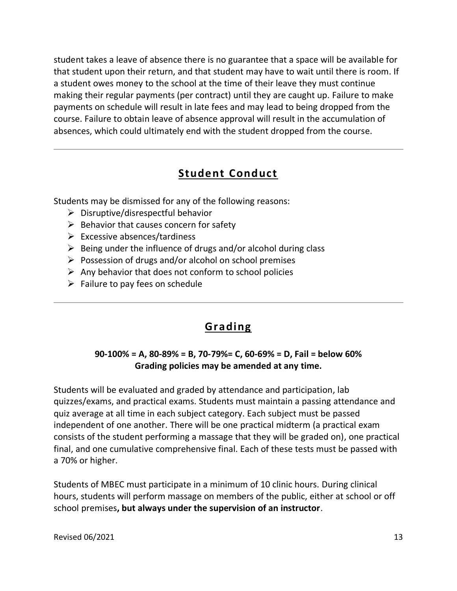student takes a leave of absence there is no guarantee that a space will be available for that student upon their return, and that student may have to wait until there is room. If a student owes money to the school at the time of their leave they must continue making their regular payments (per contract) until they are caught up. Failure to make payments on schedule will result in late fees and may lead to being dropped from the course. Failure to obtain leave of absence approval will result in the accumulation of absences, which could ultimately end with the student dropped from the course.

# **Student Conduct**

Students may be dismissed for any of the following reasons:

- $\triangleright$  Disruptive/disrespectful behavior
- $\triangleright$  Behavior that causes concern for safety
- $\triangleright$  Excessive absences/tardiness
- $\triangleright$  Being under the influence of drugs and/or alcohol during class
- ➢ Possession of drugs and/or alcohol on school premises
- $\triangleright$  Any behavior that does not conform to school policies
- $\triangleright$  Failure to pay fees on schedule

### **Grading**

#### **90-100% = A, 80-89% = B, 70-79%= C, 60-69% = D, Fail = below 60% Grading policies may be amended at any time.**

Students will be evaluated and graded by attendance and participation, lab quizzes/exams, and practical exams. Students must maintain a passing attendance and quiz average at all time in each subject category. Each subject must be passed independent of one another. There will be one practical midterm (a practical exam consists of the student performing a massage that they will be graded on), one practical final, and one cumulative comprehensive final. Each of these tests must be passed with a 70% or higher.

Students of MBEC must participate in a minimum of 10 clinic hours. During clinical hours, students will perform massage on members of the public, either at school or off school premises**, but always under the supervision of an instructor**.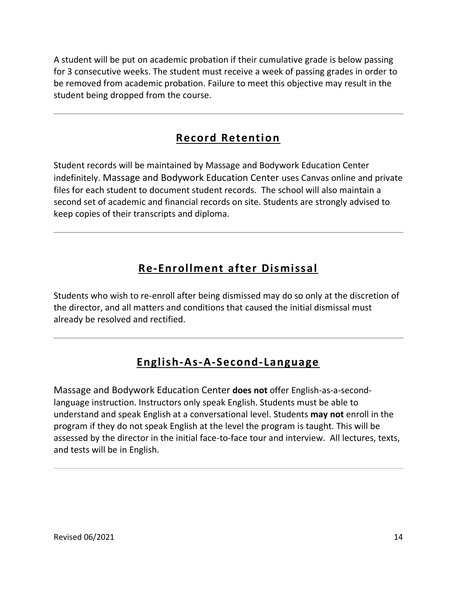A student will be put on academic probation if their cumulative grade is below passing for 3 consecutive weeks. The student must receive a week of passing grades in order to be removed from academic probation. Failure to meet this objective may result in the student being dropped from the course.

### **Record Retention**

Student records will be maintained by Massage and Bodywork Education Center indefinitely. Massage and Bodywork Education Center uses Canvas online and private files for each student to document student records. The school will also maintain a second set of academic and financial records on site. Students are strongly advised to keep copies of their transcripts and diploma.

# **Re-Enrollment after Dismissal**

Students who wish to re-enroll after being dismissed may do so only at the discretion of the director, and all matters and conditions that caused the initial dismissal must already be resolved and rectified.

### **English-As-A-Second-Language**

Massage and Bodywork Education Center **does not** offer English-as-a-secondlanguage instruction. Instructors only speak English. Students must be able to understand and speak English at a conversational level. Students **may not** enroll in the program if they do not speak English at the level the program is taught. This will be assessed by the director in the initial face-to-face tour and interview. All lectures, texts, and tests will be in English.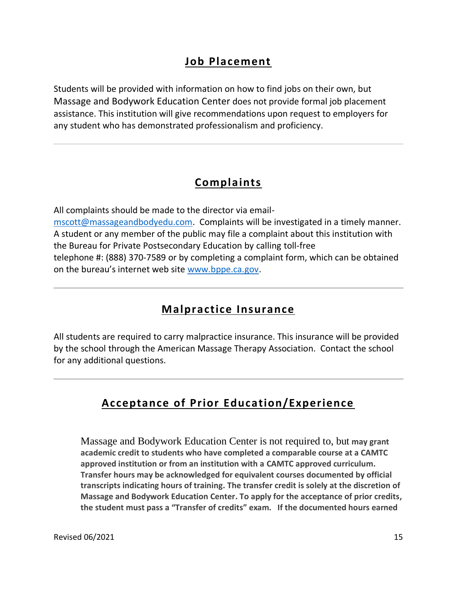#### **Job Placement**

Students will be provided with information on how to find jobs on their own, but Massage and Bodywork Education Center does not provide formal job placement assistance. This institution will give recommendations upon request to employers for any student who has demonstrated professionalism and proficiency.

#### **Complaints**

All complaints should be made to the director via email[mscott@massageandbodyedu.com.](mailto:mscott@massageandbodyedu.com) Complaints will be investigated in a timely manner. A student or any member of the public may file a complaint about this institution with the Bureau for Private Postsecondary Education by calling toll-free telephone #: (888) 370-7589 or by completing a complaint form, which can be obtained on the bureau's internet web site [www.bppe.ca.gov.](http://www.bppe.ca.gov/)

#### **Malpractice Insurance**

All students are required to carry malpractice insurance. This insurance will be provided by the school through the American Massage Therapy Association. Contact the school for any additional questions.

### **Acceptance of Prior Education/Experience**

Massage and Bodywork Education Center is not required to, but **may grant academic credit to students who have completed a comparable course at a CAMTC approved institution or from an institution with a CAMTC approved curriculum. Transfer hours may be acknowledged for equivalent courses documented by official transcripts indicating hours of training. The transfer credit is solely at the discretion of Massage and Bodywork Education Center. To apply for the acceptance of prior credits, the student must pass a "Transfer of credits" exam. If the documented hours earned**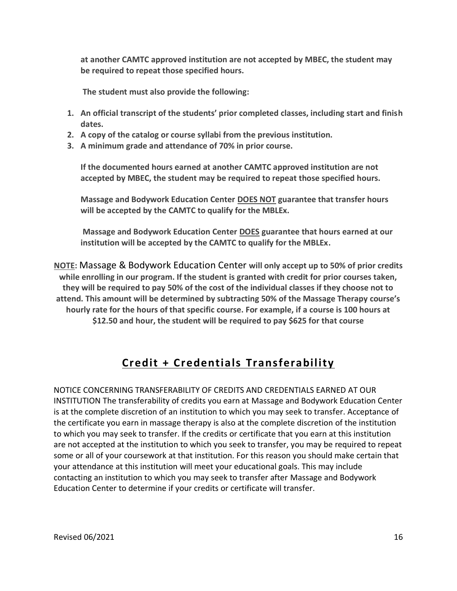**at another CAMTC approved institution are not accepted by MBEC, the student may be required to repeat those specified hours.**

**The student must also provide the following:**

- **1. An official transcript of the students' prior completed classes, including start and finish dates.**
- **2. A copy of the catalog or course syllabi from the previous institution.**
- **3. A minimum grade and attendance of 70% in prior course.**

**If the documented hours earned at another CAMTC approved institution are not accepted by MBEC, the student may be required to repeat those specified hours.**

**Massage and Bodywork Education Center DOES NOT guarantee that transfer hours will be accepted by the CAMTC to qualify for the MBLEx.** 

**Massage and Bodywork Education Center DOES guarantee that hours earned at our institution will be accepted by the CAMTC to qualify for the MBLEx.** 

**NOTE:** Massage & Bodywork Education Center **will only accept up to 50% of prior credits while enrolling in our program. If the student is granted with credit for prior courses taken, they will be required to pay 50% of the cost of the individual classes if they choose not to attend. This amount will be determined by subtracting 50% of the Massage Therapy course's hourly rate for the hours of that specific course. For example, if a course is 100 hours at \$12.50 and hour, the student will be required to pay \$625 for that course**

### **Credit + Credentials Transferability**

NOTICE CONCERNING TRANSFERABILITY OF CREDITS AND CREDENTIALS EARNED AT OUR INSTITUTION The transferability of credits you earn at Massage and Bodywork Education Center is at the complete discretion of an institution to which you may seek to transfer. Acceptance of the certificate you earn in massage therapy is also at the complete discretion of the institution to which you may seek to transfer. If the credits or certificate that you earn at this institution are not accepted at the institution to which you seek to transfer, you may be required to repeat some or all of your coursework at that institution. For this reason you should make certain that your attendance at this institution will meet your educational goals. This may include contacting an institution to which you may seek to transfer after Massage and Bodywork Education Center to determine if your credits or certificate will transfer.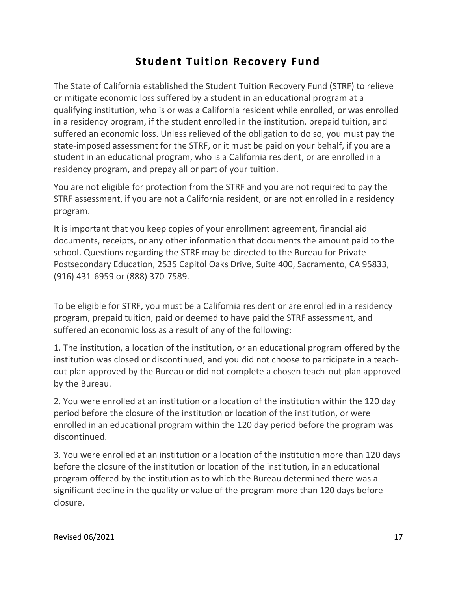# **Student Tuition Recovery Fund**

The State of California established the Student Tuition Recovery Fund (STRF) to relieve or mitigate economic loss suffered by a student in an educational program at a qualifying institution, who is or was a California resident while enrolled, or was enrolled in a residency program, if the student enrolled in the institution, prepaid tuition, and suffered an economic loss. Unless relieved of the obligation to do so, you must pay the state-imposed assessment for the STRF, or it must be paid on your behalf, if you are a student in an educational program, who is a California resident, or are enrolled in a residency program, and prepay all or part of your tuition.

You are not eligible for protection from the STRF and you are not required to pay the STRF assessment, if you are not a California resident, or are not enrolled in a residency program.

It is important that you keep copies of your enrollment agreement, financial aid documents, receipts, or any other information that documents the amount paid to the school. Questions regarding the STRF may be directed to the Bureau for Private Postsecondary Education, 2535 Capitol Oaks Drive, Suite 400, Sacramento, CA 95833, (916) 431-6959 or (888) 370-7589.

To be eligible for STRF, you must be a California resident or are enrolled in a residency program, prepaid tuition, paid or deemed to have paid the STRF assessment, and suffered an economic loss as a result of any of the following:

1. The institution, a location of the institution, or an educational program offered by the institution was closed or discontinued, and you did not choose to participate in a teachout plan approved by the Bureau or did not complete a chosen teach-out plan approved by the Bureau.

2. You were enrolled at an institution or a location of the institution within the 120 day period before the closure of the institution or location of the institution, or were enrolled in an educational program within the 120 day period before the program was discontinued.

3. You were enrolled at an institution or a location of the institution more than 120 days before the closure of the institution or location of the institution, in an educational program offered by the institution as to which the Bureau determined there was a significant decline in the quality or value of the program more than 120 days before closure.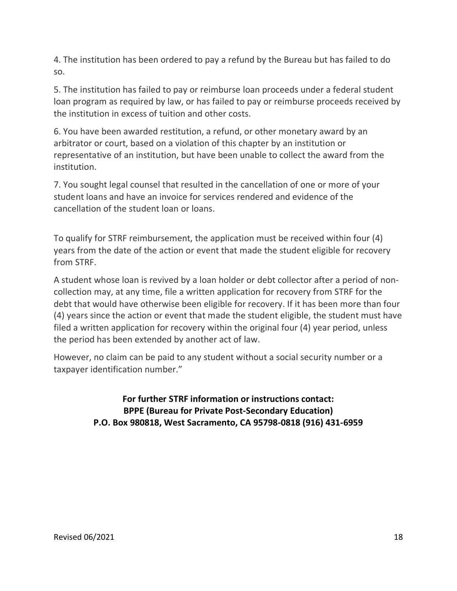4. The institution has been ordered to pay a refund by the Bureau but has failed to do so.

5. The institution has failed to pay or reimburse loan proceeds under a federal student loan program as required by law, or has failed to pay or reimburse proceeds received by the institution in excess of tuition and other costs.

6. You have been awarded restitution, a refund, or other monetary award by an arbitrator or court, based on a violation of this chapter by an institution or representative of an institution, but have been unable to collect the award from the institution.

7. You sought legal counsel that resulted in the cancellation of one or more of your student loans and have an invoice for services rendered and evidence of the cancellation of the student loan or loans.

To qualify for STRF reimbursement, the application must be received within four (4) years from the date of the action or event that made the student eligible for recovery from STRF.

A student whose loan is revived by a loan holder or debt collector after a period of noncollection may, at any time, file a written application for recovery from STRF for the debt that would have otherwise been eligible for recovery. If it has been more than four (4) years since the action or event that made the student eligible, the student must have filed a written application for recovery within the original four (4) year period, unless the period has been extended by another act of law.

However, no claim can be paid to any student without a social security number or a taxpayer identification number."

> **For further STRF information or instructions contact: BPPE (Bureau for Private Post-Secondary Education) P.O. Box 980818, West Sacramento, CA 95798-0818 (916) 431-6959**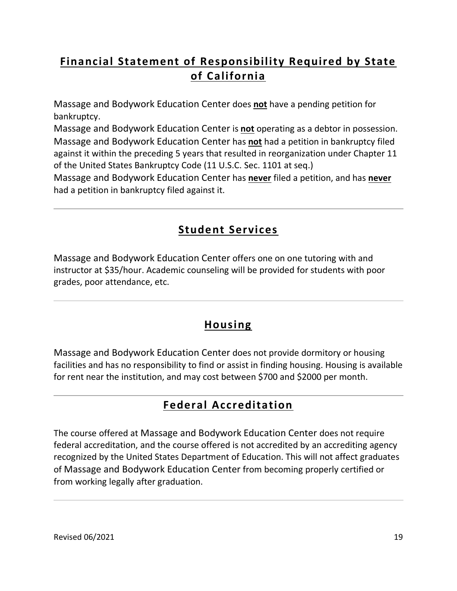# **Financial Statement of Responsibility Required by State of California**

Massage and Bodywork Education Center does **not** have a pending petition for bankruptcy.

Massage and Bodywork Education Center is **not** operating as a debtor in possession. Massage and Bodywork Education Center has **not** had a petition in bankruptcy filed against it within the preceding 5 years that resulted in reorganization under Chapter 11 of the United States Bankruptcy Code (11 U.S.C. Sec. 1101 at seq.)

Massage and Bodywork Education Center has **never** filed a petition, and has **never** had a petition in bankruptcy filed against it.

# **Student Services**

Massage and Bodywork Education Center offers one on one tutoring with and instructor at \$35/hour. Academic counseling will be provided for students with poor grades, poor attendance, etc.

### **Housing**

Massage and Bodywork Education Center does not provide dormitory or housing facilities and has no responsibility to find or assist in finding housing. Housing is available for rent near the institution, and may cost between \$700 and \$2000 per month.

# **Federal Accreditation**

The course offered at Massage and Bodywork Education Center does not require federal accreditation, and the course offered is not accredited by an accrediting agency recognized by the United States Department of Education. This will not affect graduates of Massage and Bodywork Education Center from becoming properly certified or from working legally after graduation.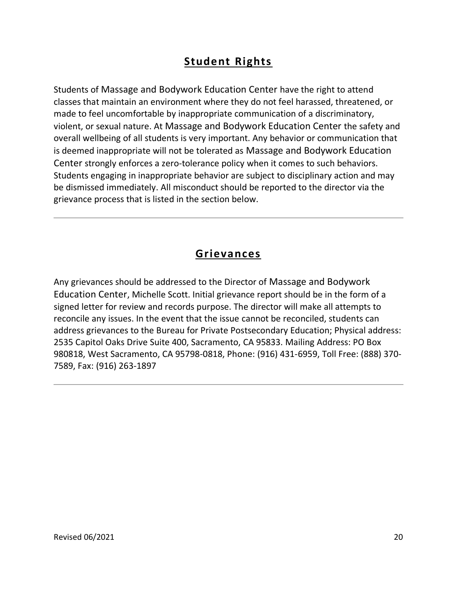# **Student Rights**

Students of Massage and Bodywork Education Center have the right to attend classes that maintain an environment where they do not feel harassed, threatened, or made to feel uncomfortable by inappropriate communication of a discriminatory, violent, or sexual nature. At Massage and Bodywork Education Center the safety and overall wellbeing of all students is very important. Any behavior or communication that is deemed inappropriate will not be tolerated as Massage and Bodywork Education Center strongly enforces a zero-tolerance policy when it comes to such behaviors. Students engaging in inappropriate behavior are subject to disciplinary action and may be dismissed immediately. All misconduct should be reported to the director via the grievance process that is listed in the section below.

### **Grievances**

Any grievances should be addressed to the Director of Massage and Bodywork Education Center, Michelle Scott. Initial grievance report should be in the form of a signed letter for review and records purpose. The director will make all attempts to reconcile any issues. In the event that the issue cannot be reconciled, students can address grievances to the Bureau for Private Postsecondary Education; Physical address: 2535 Capitol Oaks Drive Suite 400, Sacramento, CA 95833. Mailing Address: PO Box 980818, West Sacramento, CA 95798-0818, Phone: (916) 431-6959, Toll Free: (888) 370- 7589, Fax: (916) 263-1897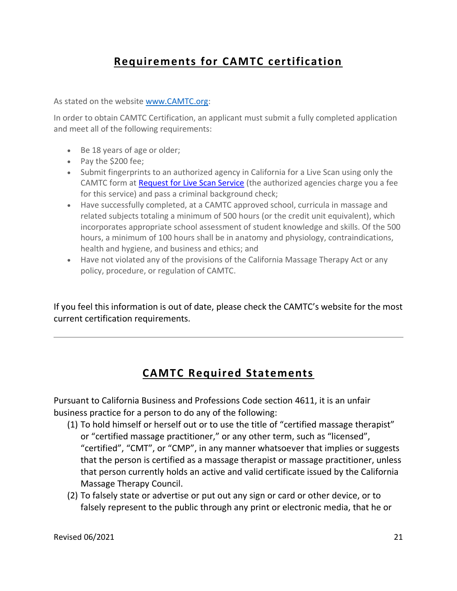# **Requirements for CAMTC certification**

As stated on the website [www.CAMTC.org:](http://www.camtc.org/)

In order to obtain CAMTC Certification, an applicant must submit a fully completed application and meet all of the following requirements:

- Be 18 years of age or older;
- Pay the \$200 fee;
- Submit fingerprints to an authorized agency in California for a Live Scan using only the CAMTC form at [Request for Live Scan Service](https://www.camtc.org/media/1063/livescanmassagetherapistrequest.pdf) (the authorized agencies charge you a fee for this service) and pass a criminal background check;
- Have successfully completed, at a CAMTC approved school, curricula in massage and related subjects totaling a minimum of 500 hours (or the credit unit equivalent), which incorporates appropriate school assessment of student knowledge and skills. Of the 500 hours, a minimum of 100 hours shall be in anatomy and physiology, contraindications, health and hygiene, and business and ethics; and
- Have not violated any of the provisions of the California Massage Therapy Act or any policy, procedure, or regulation of CAMTC.

If you feel this information is out of date, please check the CAMTC's website for the most current certification requirements.

### **CAMTC Required Statements**

Pursuant to California Business and Professions Code section 4611, it is an unfair business practice for a person to do any of the following:

- (1) To hold himself or herself out or to use the title of "certified massage therapist" or "certified massage practitioner," or any other term, such as "licensed", "certified", "CMT", or "CMP", in any manner whatsoever that implies or suggests that the person is certified as a massage therapist or massage practitioner, unless that person currently holds an active and valid certificate issued by the California Massage Therapy Council.
- (2) To falsely state or advertise or put out any sign or card or other device, or to falsely represent to the public through any print or electronic media, that he or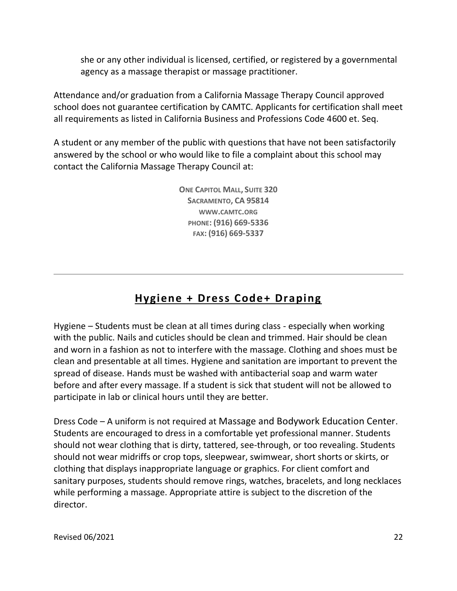she or any other individual is licensed, certified, or registered by a governmental agency as a massage therapist or massage practitioner.

Attendance and/or graduation from a California Massage Therapy Council approved school does not guarantee certification by CAMTC. Applicants for certification shall meet all requirements as listed in California Business and Professions Code 4600 et. Seq.

A student or any member of the public with questions that have not been satisfactorily answered by the school or who would like to file a complaint about this school may contact the California Massage Therapy Council at:

> **ONE CAPITOL MALL, SUITE 320 SACRAMENTO, CA 95814 WWW.[CAMTC](http://www.camtc.org/).ORG PHONE: (916) 669-5336 FAX: (916) 669-5337**

# **Hygiene + Dress Code+ Draping**

Hygiene – Students must be clean at all times during class - especially when working with the public. Nails and cuticles should be clean and trimmed. Hair should be clean and worn in a fashion as not to interfere with the massage. Clothing and shoes must be clean and presentable at all times. Hygiene and sanitation are important to prevent the spread of disease. Hands must be washed with antibacterial soap and warm water before and after every massage. If a student is sick that student will not be allowed to participate in lab or clinical hours until they are better.

Dress Code – A uniform is not required at Massage and Bodywork Education Center. Students are encouraged to dress in a comfortable yet professional manner. Students should not wear clothing that is dirty, tattered, see-through, or too revealing. Students should not wear midriffs or crop tops, sleepwear, swimwear, short shorts or skirts, or clothing that displays inappropriate language or graphics. For client comfort and sanitary purposes, students should remove rings, watches, bracelets, and long necklaces while performing a massage. Appropriate attire is subject to the discretion of the director.